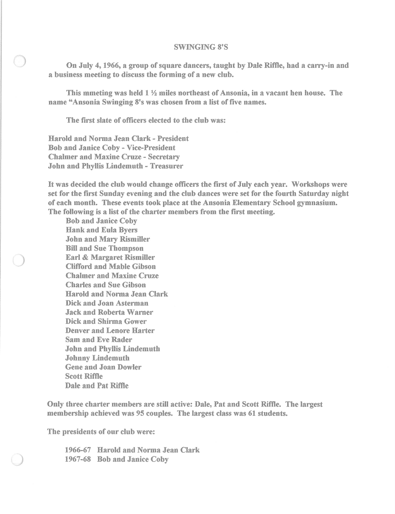## SWINGING 8'S

On July 4, 1966, a group of square dancers, taught by Dale Riffle, had a carry-in and a business meeting to discuss the forming of a new club.

This mmeting was held 1 1/2 miles northeast of Ansonia, in a vacant hen house. The name "Ansonia Swinging 8's was chosen from a list of five names.

The first slate of officers elected to the club was:

Harold and Norma Jean Clark - President Bob and Janice Coby - Vice-President Chalmer and Maxine Cruze - Secretary John and Phyllis Lindemuth - Treasurer

It was decided the club would change officers the first of July each year. Workshops were set for the first Sunday evening and the club dances were set for the fourth Saturday night of each mouth. These events took place at the Ansonia Elementary School gymnasium. The following is a list of the charter members from the first meeting.

Bob and Janice Coby Hank and Eula Byers John and Mary Rismiller Bill and Sue Thompson Earl & Margaret Rismiller Clifford and Mable Gibson Chalmer and Maxine Cruze Charles and Sue Gibson Harold and Norma Jean Clark Dick and Joan Asterman Jack and Roberta Warner Dick and Shirma Gower Denver and Lenore Harter Sam and Eve Rader John and Phyllis Lindemuth Johnny Lindemuth Gene and Joan Dowler Scott Rime Dale and Pat Riffle

Only three charter members are still active: Dale, Pat and Scott Riffle. The largest membership achieved was 95 couples. The largest class was 61 students.

The presidents of our club were:

1966-67 Harold and Norma Jean Clark 1967-68 Bob and Janice Coby